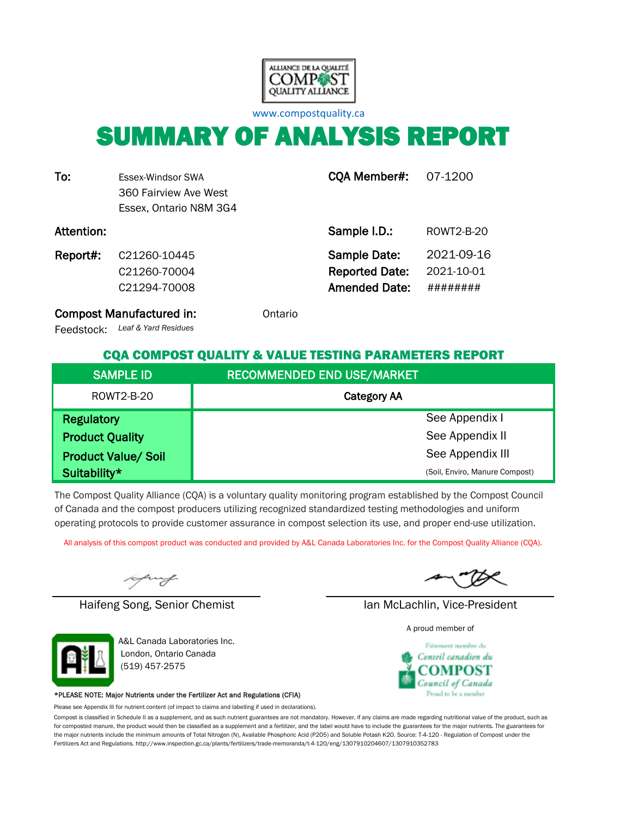

[w](http://www.compostquality.ca/)ww.compostquality.ca

# SUMMARY OF ANALYSIS REPORT

| To:        | Essex-Windsor SWA<br>360 Fairview Ave West<br>Essex, Ontario N8M 3G4 | CQA Member#:                                                  | 07-1200                              |
|------------|----------------------------------------------------------------------|---------------------------------------------------------------|--------------------------------------|
| Attention: |                                                                      | Sample I.D.:                                                  | ROWT2-B-20                           |
| Report#:   | C21260-10445<br>C21260-70004<br>C21294-70008                         | Sample Date:<br><b>Reported Date:</b><br><b>Amended Date:</b> | 2021-09-16<br>2021-10-01<br>######## |

Compost Manufactured in: **Compost Manufactured in:** Ontario

*Leaf & Yard Residues* Feedstock:

#### CQA COMPOST QUALITY & VALUE TESTING PARAMETERS REPORT

| <b>SAMPLE ID</b>           | <b>RECOMMENDED END USE/MARKET</b> |
|----------------------------|-----------------------------------|
| ROWT2-B-20                 | <b>Category AA</b>                |
| <b>Regulatory</b>          | See Appendix I                    |
| <b>Product Quality</b>     | See Appendix II                   |
| <b>Product Value/ Soil</b> | See Appendix III                  |
| Suitability*               | (Soil, Enviro, Manure Compost)    |

The Compost Quality Alliance (CQA) is a voluntary quality monitoring program established by the Compost Council of Canada and the compost producers utilizing recognized standardized testing methodologies and uniform operating protocols to provide customer assurance in compost selection its use, and proper end-use utilization.

All analysis of this compost product was conducted and provided by A&L Canada Laboratories Inc. for the Compost Quality Alliance (CQA).

uy

Haifeng Song, Senior Chemist Ian McLachlin, Vice-President



A&L Canada Laboratories Inc. London, Ontario Canada (519) 457-2575

#### \*PLEASE NOTE: Major Nutrients under the Fertilizer Act and Regulations (CFIA)

Please see Appendix III for nutrient content (of impact to claims and labelling if used in declarations).

Compost is classified in Schedule II as a supplement, and as such nutrient guarantees are not mandatory. However, if any claims are made regarding nutritional value of the product, such as for composted manure, the product would then be classified as a supplement and a fertilizer, and the label would have to include the guarantees for the major nutrients. The guarantees for the major nutrients include the minimum amounts of Total Nitrogen (N), Available Phosphoric Acid (P2O5) and Soluble Potash K2O. Source: T-4-120 - Regulation of Compost under the Fertilizers Act and Regulations. http://www.inspection.gc.ca/plants/fertilizers/trade-memoranda/t-4-120/eng/1307910204607/1307910352783

A proud member of

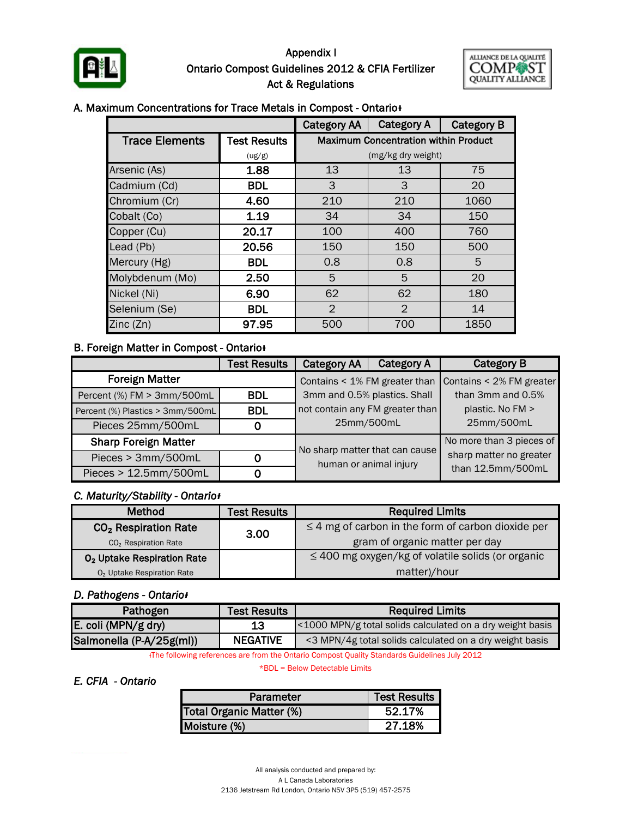

#### Appendix I Ontario Compost Guidelines 2012 & CFIA Fertilizer Act & Regulations



#### A. Maximum Concentrations for Trace Metals in Compost - Ontario<sup>+</sup>

|                       |                     | <b>Category AA</b> | <b>Category A</b>                           | <b>Category B</b> |  |  |  |  |
|-----------------------|---------------------|--------------------|---------------------------------------------|-------------------|--|--|--|--|
| <b>Trace Elements</b> | <b>Test Results</b> |                    | <b>Maximum Concentration within Product</b> |                   |  |  |  |  |
|                       | (ug/g)              |                    | (mg/kg dry weight)                          |                   |  |  |  |  |
| Arsenic (As)          | 1.88                | 13                 | 13                                          | 75                |  |  |  |  |
| Cadmium (Cd)          | <b>BDL</b>          | 3                  | 3                                           | 20                |  |  |  |  |
| Chromium (Cr)         | 4.60                | 210                | 210                                         | 1060              |  |  |  |  |
| Cobalt (Co)           | 1.19                | 34                 | 34                                          | 150               |  |  |  |  |
| Copper (Cu)           | 20.17               | 100                | 400                                         | 760               |  |  |  |  |
| Lead (Pb)             | 20.56               | 150                | 150                                         | 500               |  |  |  |  |
| Mercury (Hg)          | <b>BDL</b>          | 0.8                | 0.8                                         | 5                 |  |  |  |  |
| Molybdenum (Mo)       | 2.50                | 5                  | 5                                           | 20                |  |  |  |  |
| Nickel (Ni)           | 6.90                | 62                 | 62                                          | 180               |  |  |  |  |
| Selenium (Se)         | <b>BDL</b>          | $\overline{2}$     | $\overline{2}$                              | 14                |  |  |  |  |
| Zinc(Zn)              | 97.95               | 500                | 700                                         | 1850              |  |  |  |  |

#### **B. Foreign Matter in Compost - Ontario**

|                                                       | <b>Test Results</b> | <b>Category AA</b>                                       | <b>Category A</b> | <b>Category B</b>        |
|-------------------------------------------------------|---------------------|----------------------------------------------------------|-------------------|--------------------------|
| <b>Foreign Matter</b>                                 |                     | Contains < 1% FM greater than                            |                   | Contains < 2% FM greater |
| Percent (%) FM > 3mm/500mL                            | <b>BDL</b>          | 3mm and 0.5% plastics. Shall                             |                   | than 3mm and 0.5%        |
| Percent (%) Plastics > 3mm/500mL                      | <b>BDL</b>          | not contain any FM greater than                          |                   | plastic. No FM >         |
| Pieces 25mm/500mL                                     | 0                   | 25mm/500mL                                               |                   | 25mm/500mL               |
| <b>Sharp Foreign Matter</b>                           |                     |                                                          |                   | No more than 3 pieces of |
| Pieces > 3mm/500mL<br>0<br>Pieces > 12.5mm/500mL<br>0 |                     | No sharp matter that can cause<br>human or animal injury |                   | sharp matter no greater  |
|                                                       |                     |                                                          |                   | than 12.5mm/500mL        |

#### *C. Maturity/Stability - Ontarioᵻ*

| <b>Method</b>                          | <b>Test Results</b> | <b>Required Limits</b>                                  |  |  |
|----------------------------------------|---------------------|---------------------------------------------------------|--|--|
| CO <sub>2</sub> Respiration Rate       | 3.00                | $\leq$ 4 mg of carbon in the form of carbon dioxide per |  |  |
| CO <sub>2</sub> Respiration Rate       |                     | gram of organic matter per day                          |  |  |
| O <sub>2</sub> Uptake Respiration Rate |                     | $\leq$ 400 mg oxygen/kg of volatile solids (or organic  |  |  |
| O <sub>2</sub> Uptake Respiration Rate |                     | matter)/hour                                            |  |  |

#### *D. Pathogens - Ontarioᵻ*

| Pathogen                 | <b>Test Results</b> | <b>Required Limits</b>                                    |
|--------------------------|---------------------|-----------------------------------------------------------|
| E. coli (MPN/g dry)      | 13                  | <1000 MPN/g total solids calculated on a dry weight basis |
| Salmonella (P-A/25g(ml)) | <b>NEGATIVE</b>     | <3 MPN/4g total solids calculated on a dry weight basis   |

ᵻThe following references are from the Ontario Compost Quality Standards Guidelines July 2012

\*BDL = Below Detectable Limits

#### *E. CFIA - Ontario*

| Parameter                | <b>Test Results  </b> |
|--------------------------|-----------------------|
| Total Organic Matter (%) | 52.17%                |
| Moisture (%)             | 27.18%                |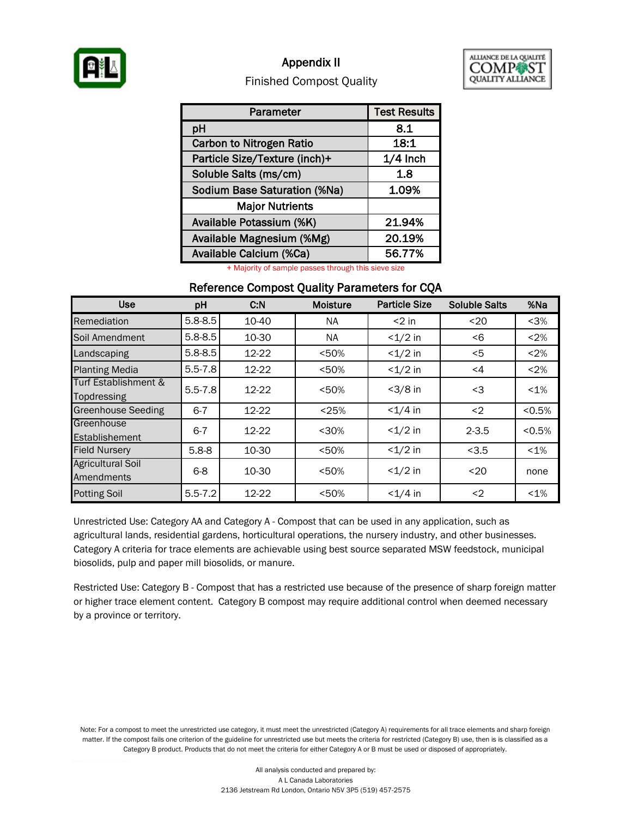

### Appendix II



#### Finished Compost Quality

| Parameter                           | <b>Test Results</b> |
|-------------------------------------|---------------------|
| pH                                  | 8.1                 |
| <b>Carbon to Nitrogen Ratio</b>     | 18:1                |
| Particle Size/Texture (inch)+       | $1/4$ Inch          |
| Soluble Salts (ms/cm)               | 1.8                 |
| <b>Sodium Base Saturation (%Na)</b> | 1.09%               |
| <b>Major Nutrients</b>              |                     |
| Available Potassium (%K)            | 21.94%              |
| Available Magnesium (%Mg)           | 20.19%              |
| Available Calcium (%Ca)             | 56.77%              |

+ Majority of sample passes through this sieve size

#### Reference Compost Quality Parameters for CQA

| <b>Use</b>                             | pH          | C.N   | <b>Moisture</b> | <b>Particle Size</b> | <b>Soluble Salts</b> | %Na     |
|----------------------------------------|-------------|-------|-----------------|----------------------|----------------------|---------|
| Remediation                            | $5.8 - 8.5$ | 10-40 | NA.             | $<$ 2 in             | $20$                 | $3%$    |
| Soil Amendment                         | $5.8 - 8.5$ | 10-30 | <b>NA</b>       | $<1/2$ in            | < 6                  | < 2%    |
| Landscaping                            | $5.8 - 8.5$ | 12-22 | < 50%           | $<1/2$ in            | $<$ 5                | < 2%    |
| <b>Planting Media</b>                  | $5.5 - 7.8$ | 12-22 | < 50%           | $<1/2$ in            | $\leq 4$             | < 2%    |
| Turf Establishment &<br>Topdressing    | $5.5 - 7.8$ | 12-22 | < 50%           | $<3/8$ in            | <3                   | $< 1\%$ |
| <b>Greenhouse Seeding</b>              | $6 - 7$     | 12-22 | < 25%           | $< 1/4$ in           | $2$                  | < 0.5%  |
| Greenhouse<br>Establishement           | $6 - 7$     | 12-22 | $30%$           | $<1/2$ in            | $2 - 3.5$            | < 0.5%  |
| <b>Field Nursery</b>                   | $5.8 - 8$   | 10-30 | < 50%           | $<1/2$ in            | < 3.5                | $< 1\%$ |
| <b>Agricultural Soil</b><br>Amendments | $6 - 8$     | 10-30 | < 50%           | $<1/2$ in            | $20$                 | none    |
| <b>Potting Soil</b>                    | $5.5 - 7.2$ | 12-22 | < 50%           | $<1/4$ in            | $2$                  | $< 1\%$ |

Unrestricted Use: Category AA and Category A - Compost that can be used in any application, such as agricultural lands, residential gardens, horticultural operations, the nursery industry, and other businesses. Category A criteria for trace elements are achievable using best source separated MSW feedstock, municipal biosolids, pulp and paper mill biosolids, or manure.

Restricted Use: Category B - Compost that has a restricted use because of the presence of sharp foreign matter or higher trace element content. Category B compost may require additional control when deemed necessary by a province or territory.

Note: For a compost to meet the unrestricted use category, it must meet the unrestricted (Category A) requirements for all trace elements and sharp foreign matter. If the compost fails one criterion of the guideline for unrestricted use but meets the criteria for restricted (Category B) use, then is is classified as a Category B product. Products that do not meet the criteria for either Category A or B must be used or disposed of appropriately.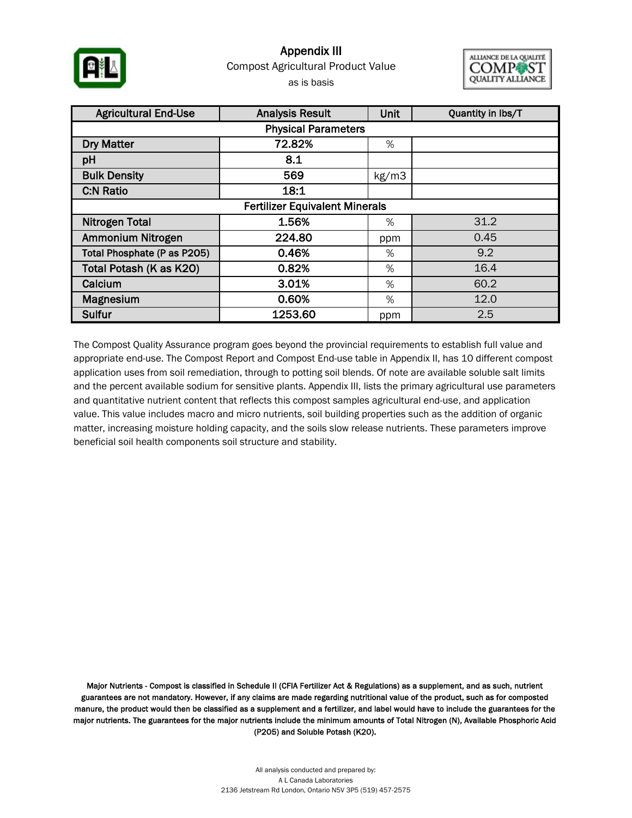

### Appendix III as is basis Compost Agricultural Product Value



| <b>Agricultural End-Use</b>           | <b>Analysis Result</b> | Unit  | Quantity in lbs/T |  |  |  |  |  |
|---------------------------------------|------------------------|-------|-------------------|--|--|--|--|--|
| <b>Physical Parameters</b>            |                        |       |                   |  |  |  |  |  |
| <b>Dry Matter</b>                     | 72.82%                 | %     |                   |  |  |  |  |  |
| pH                                    | 8.1                    |       |                   |  |  |  |  |  |
| <b>Bulk Density</b>                   | 569                    | kg/m3 |                   |  |  |  |  |  |
| <b>C:N Ratio</b>                      | 18:1                   |       |                   |  |  |  |  |  |
| <b>Fertilizer Equivalent Minerals</b> |                        |       |                   |  |  |  |  |  |
| <b>Nitrogen Total</b>                 | 1.56%                  | %     | 31.2              |  |  |  |  |  |
| Ammonium Nitrogen                     | 224.80                 | ppm   | 0.45              |  |  |  |  |  |
| Total Phosphate (P as P205)           | 0.46%                  | %     | 9.2               |  |  |  |  |  |
| Total Potash (K as K20)               | 0.82%                  | %     | 16.4              |  |  |  |  |  |
| Calcium                               | 3.01%                  | %     | 60.2              |  |  |  |  |  |
| Magnesium                             | 0.60%                  | %     | 12.0              |  |  |  |  |  |
| Sulfur                                | 1253.60                | ppm   | 2.5               |  |  |  |  |  |

The Compost Quality Assurance program goes beyond the provincial requirements to establish full value and appropriate end-use. The Compost Report and Compost End-use table in Appendix II, has 10 different compost application uses from soil remediation, through to potting soil blends. Of note are available soluble salt limits and the percent available sodium for sensitive plants. Appendix III, lists the primary agricultural use parameters and quantitative nutrient content that reflects this compost samples agricultural end-use, and application value. This value includes macro and micro nutrients, soil building properties such as the addition of organic matter, increasing moisture holding capacity, and the soils slow release nutrients. These parameters improve beneficial soil health components soil structure and stability.

Major Nutrients - Compost is classified in Schedule II (CFIA Fertilizer Act & Regulations) as a supplement, and as such, nutrient guarantees are not mandatory. However, if any claims are made regarding nutritional value of the product, such as for composted manure, the product would then be classified as a supplement and a fertilizer, and label would have to include the guarantees for the major nutrients. The guarantees for the major nutrients include the minimum amounts of Total Nitrogen (N), Available Phosphoric Acid (P2O5) and Soluble Potash (K2O).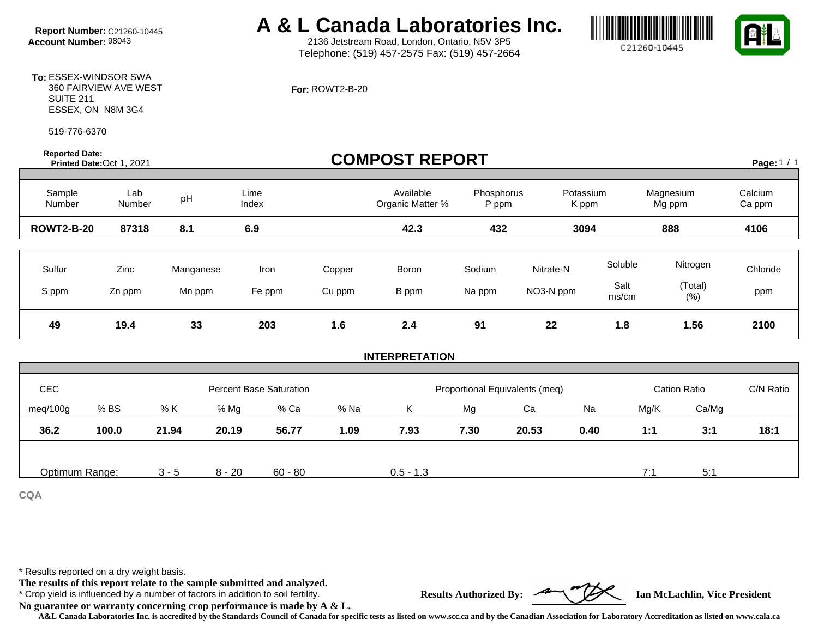# **Report Number:** C21260-10445 **A & L Canada Laboratories Inc.**<br>Account Number: 98043 **A & L** 2136 Jetstream Road, London, Ontario, N5V 3P5

2136 Jetstream Road, London, Ontario, N5V 3P5 Telephone: (519) 457-2575 Fax: (519) 457-2664





**To:** ESSEX-WINDSOR SWA 360 FAIRVIEW AVE WEST SUITE 211 ESSEX, ON N8M 3G4

519-776-6370

**Reported Date:** 

#### **For:** ROWT2-B-20

| <b>Reported Date:</b><br>Printed Date: Oct 1, 2021 |                        |                           |                                |                         | <b>COMPOST REPORT</b>         |                                |                              |                                 |                                       | Page: 1 / 1             |
|----------------------------------------------------|------------------------|---------------------------|--------------------------------|-------------------------|-------------------------------|--------------------------------|------------------------------|---------------------------------|---------------------------------------|-------------------------|
| Sample<br>Number                                   | Lab<br>Number          | pH                        | Lime<br>Index                  |                         | Available<br>Organic Matter % | Phosphorus<br>P ppm            |                              | Potassium<br>K ppm              | Magnesium<br>Mg ppm                   | Calcium<br>Ca ppm       |
| <b>ROWT2-B-20</b>                                  | 87318                  | 8.1                       | 6.9                            |                         | 42.3                          | 432                            |                              | 3094                            | 888                                   | 4106                    |
| Sulfur<br>S ppm<br>49                              | Zinc<br>Zn ppm<br>19.4 | Manganese<br>Mn ppm<br>33 | Iron<br>Fe ppm<br>203          | Copper<br>Cu ppm<br>1.6 | Boron<br>B ppm<br>2.4         | Sodium<br>Na ppm<br>91         | Nitrate-N<br>NO3-N ppm<br>22 | Soluble<br>Salt<br>ms/cm<br>1.8 | Nitrogen<br>(Total)<br>$(\%)$<br>1.56 | Chloride<br>ppm<br>2100 |
|                                                    |                        |                           |                                |                         | <b>INTERPRETATION</b>         |                                |                              |                                 |                                       |                         |
|                                                    |                        |                           |                                |                         |                               |                                |                              |                                 |                                       |                         |
| CEC                                                |                        |                           | <b>Percent Base Saturation</b> |                         |                               | Proportional Equivalents (meq) |                              |                                 | <b>Cation Ratio</b>                   | C/N Ratio               |
| meg/100g                                           | % BS                   | % K<br>% Mg               | % Ca                           | % Na                    | Κ                             | Mg                             | Ca                           | Na                              | Ca/Mg<br>Mg/K                         |                         |
| 36.2                                               | 100.0                  | 21.94<br>20.19            | 56.77                          | 1.09                    | 7.93                          | 7.30                           | 20.53                        | 0.40                            | 1:1<br>3:1                            | 18:1                    |

Optimum Range: 3 - 5 8 - 20 60 - 80 0.5 - 1.3 7:1 7:1 5:1

**CQA**

\* Results reported on a dry weight basis.

**The results of this report relate to the sample submitted and analyzed.** 

\* Crop yield is influenced by a number of factors in addition to soil fertility. **Results Authorized By: Ian McLachlin, Vice President**

**No guarantee or warranty concerning crop performance is made by A & L.**



**A&L Canada Laboratories Inc. is accredited by the Standards Council of Canada for specific tests as listed on www.scc.ca and by the Canadian Association for Laboratory Accreditation as listed on www.cala.ca**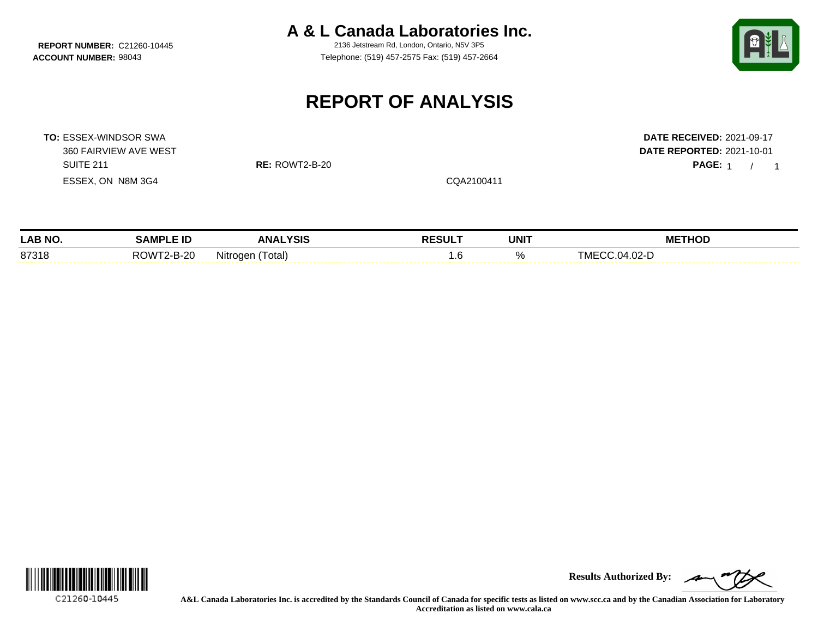**REPORT NUMBER: C21260-10445** 

**A & L Canada Laboratories Inc.**<br>2136 Jetstream Rd. London, Ontario, N5V 3P5

**ACCOUNT NUMBER:** 98043 Telephone: (519) 457-2575 Fax: (519) 457-2664



PAGE: 1 / 1

## **REPORT OF ANALYSIS**

**TO:** ESSEX-WINDSOR SWA **DATE RECEIVED:** 2021-09-17 360 FAIRVIEW AVE WEST **DATE REPORTED:** 2021-10-01 SUITE 211 **RE:** ROWT2-B-20 **PAGE:** 1 / ESSEX, ON N8M 3G4 CQA2100411

| <b>LAB NO</b> | AMP'                 | .YSIS                                       |        |             | <b>THOD</b>                         |
|---------------|----------------------|---------------------------------------------|--------|-------------|-------------------------------------|
|               | .                    | <b>ANA</b>                                  | RESULT | <b>UNIT</b> | МE                                  |
| 87318         | ROW.<br>$2 - B - 20$ | Nitrogen <sup>/"</sup><br>otal <sup>-</sup> | . ت    |             | $.02-I$<br><u>і і Ді</u><br>. IVII. |



**Results Authorized By:**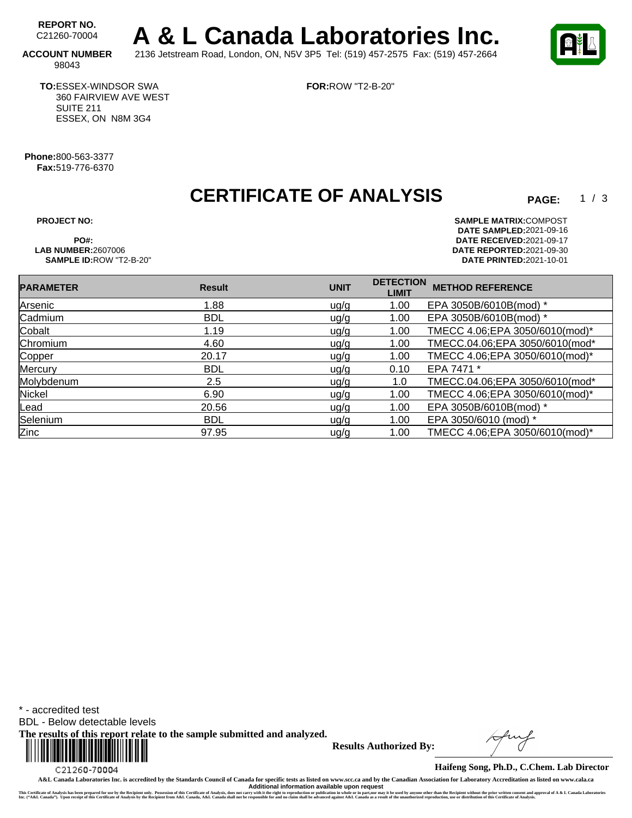REPORT NO.<br>C21260-70004 A & L Canada Laboratories Inc. **ACCOUNT NUMBER** 2136 Jetstream Road, London, ON, N5V 3P5 Tel: (519) 457-2575 Fax: (519) 457-2664

**FOR:**ROW "T2-B-20"



 $1 / 3$ 

98043

**TO:**ESSEX-WINDSOR SWA 360 FAIRVIEW AVE WEST SUITE 211 ESSEX, ON N8M 3G4

**Phone:**800-563-3377 **Fax:**519-776-6370

## **CERTIFICATE OF ANALYSIS**

**SAMPLE ID:ROW "T2-B-20"** 

**PROJECT NO: SAMPLE MATRIX:** COMPOST **DATE SAMPLED:** 2021-09-16 **PO#: DATE RECEIVED:**2021-09-17 **LAB NUMBER:**2607006 **DATE REPORTED:**2021-09-30

| <b>PARAMETER</b> | <b>Result</b> | <b>UNIT</b> | <b>DETECTION</b><br><b>LIMIT</b> | <b>METHOD REFERENCE</b>        |
|------------------|---------------|-------------|----------------------------------|--------------------------------|
| Arsenic          | 1.88          | ug/g        | 1.00                             | EPA 3050B/6010B(mod) *         |
| Cadmium          | <b>BDL</b>    | ug/g        | 1.00                             | EPA 3050B/6010B(mod) *         |
| Cobalt           | 1.19          | u g/g       | 1.00                             | TMECC 4.06;EPA 3050/6010(mod)* |
| Chromium         | 4.60          | ug/g        | 1.00                             | TMECC.04.06;EPA 3050/6010(mod* |
| Copper           | 20.17         | u g/g       | 1.00                             | TMECC 4.06;EPA 3050/6010(mod)* |
| Mercury          | <b>BDL</b>    | ug/g        | 0.10                             | EPA 7471 *                     |
| Molybdenum       | 2.5           | u g/g       | 1.0                              | TMECC.04.06;EPA 3050/6010(mod* |
| Nickel           | 6.90          | ug/g        | 1.00                             | TMECC 4.06;EPA 3050/6010(mod)* |
| Lead             | 20.56         | ug/g        | 1.00                             | EPA 3050B/6010B(mod) *         |
| Selenium         | <b>BDL</b>    | u g/g       | 1.00                             | EPA 3050/6010 (mod) *          |
| Zinc             | 97.95         | ug/g        | 1.00                             | TMECC 4.06;EPA 3050/6010(mod)* |

\* - accredited test

BDL - Below detectable levels

**The results of this report relate to the sample submitted and analyzed.** 



**Results Authorized By:**

**Haifeng Song, Ph.D., C.Chem. Lab Director**

**A&L Canada Laboratories Inc. is accredited by the Standards Council of Canada for specific tests as listed on www.scc.ca and by the Canadian Association for Laboratory Accreditation as listed on www.cala.ca** Additional information available upon request<br>This Certificate of Analysis has been prepared for use by the Recipient only. Possession of this Certificate of Analysis, does not carry with the right to reproduction or publi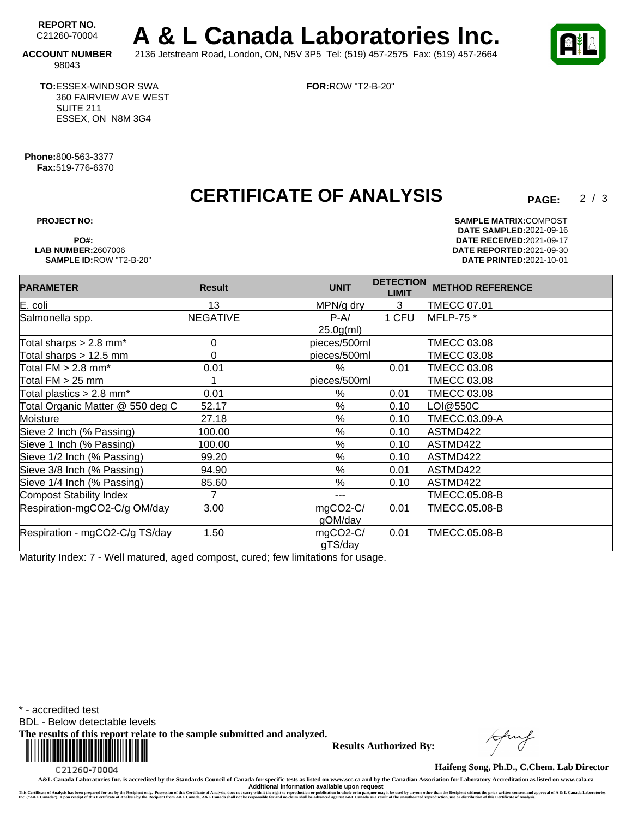REPORT NO.<br>C21260-70004 A & L Canada Laboratories Inc. **ACCOUNT NUMBER** 2136 Jetstream Road, London, ON, N5V 3P5 Tel: (519) 457-2575 Fax: (519) 457-2664

 $2/3$ 

98043

**TO:**ESSEX-WINDSOR SWA 360 FAIRVIEW AVE WEST SUITE 211 ESSEX, ON N8M 3G4

**FOR:**ROW "T2-B-20"

**Phone:**800-563-3377 **Fax:**519-776-6370

## **CERTIFICATE OF ANALYSIS**

**PROJECT NO: SAMPLE MATRIX:** COMPOST **DATE SAMPLED:** 2021-09-16 **PO#: DATE RECEIVED:**2021-09-17 **LAB NUMBER:**2607006 **DATE REPORTED:**2021-09-30 **SAMPLE ID:**ROW "T2-B-20" **DATE PRINTED:**2021-10-01

| <b>PARAMETER</b>                       | <b>Result</b>   | <b>UNIT</b>  | <b>DETECTION</b><br><b>LIMIT</b> | <b>METHOD REFERENCE</b> |
|----------------------------------------|-----------------|--------------|----------------------------------|-------------------------|
| $E.$ coli                              | 13              | MPN/g dry    | 3                                | TMECC 07.01             |
| Salmonella spp.                        | <b>NEGATIVE</b> | $P-A/$       | 1 CFU                            | MFLP-75 *               |
|                                        |                 | $25.0g$ (ml) |                                  |                         |
| Total sharps $> 2.8$ mm <sup>*</sup>   | 0               | pieces/500ml |                                  | <b>TMECC 03.08</b>      |
| Total sharps > 12.5 mm                 | 0               | pieces/500ml |                                  | <b>TMECC 03.08</b>      |
| Total $FM > 2.8$ mm*                   | 0.01            | %            | 0.01                             | <b>TMECC 03.08</b>      |
| Total $FM > 25$ mm                     |                 | pieces/500ml |                                  | <b>TMECC 03.08</b>      |
| Total plastics $> 2.8$ mm <sup>*</sup> | 0.01            | %            | 0.01                             | <b>TMECC 03.08</b>      |
| Total Organic Matter @ 550 deg C       | 52.17           | %            | 0.10                             | LOI@550C                |
| Moisture                               | 27.18           | $\%$         | 0.10                             | TMECC.03.09-A           |
| Sieve 2 Inch (% Passing)               | 100.00          | %            | 0.10                             | ASTMD422                |
| Sieve 1 Inch (% Passing)               | 100.00          | $\%$         | 0.10                             | ASTMD422                |
| Sieve 1/2 Inch (% Passing)             | 99.20           | %            | 0.10                             | ASTMD422                |
| Sieve 3/8 Inch (% Passing)             | 94.90           | $\%$         | 0.01                             | ASTMD422                |
| Sieve 1/4 Inch (% Passing)             | 85.60           | %            | 0.10                             | ASTMD422                |
| Compost Stability Index                | 7               | ---          |                                  | <b>TMECC.05.08-B</b>    |
| Respiration-mgCO2-C/g OM/day           | 3.00            | mgCO2-C/     | 0.01                             | <b>TMECC.05.08-B</b>    |
|                                        |                 | gOM/day      |                                  |                         |
| Respiration - mgCO2-C/g TS/day         | 1.50            | mgCO2-C/     | 0.01                             | <b>TMECC.05.08-B</b>    |
|                                        |                 | gTS/day      |                                  |                         |

Maturity Index: 7 - Well matured, aged compost, cured; few limitations for usage.

\* - accredited test

BDL - Below detectable levels

**The results of this report relate to the sample submitted and analyzed.** 



**Results Authorized By:**

**Haifeng Song, Ph.D., C.Chem. Lab Director**

**A&L Canada Laboratories Inc. is accredited by the Standards Council of Canada for specific tests as listed on www.scc.ca and by the Canadian Association for Laboratory Accreditation as listed on www.cala.ca** Additional information available upon request<br>This Certificate of Analysis has been prepared for use by the Recipient only. Possession of this Certificate of Analysis, does not carry with the right to reproduction or publi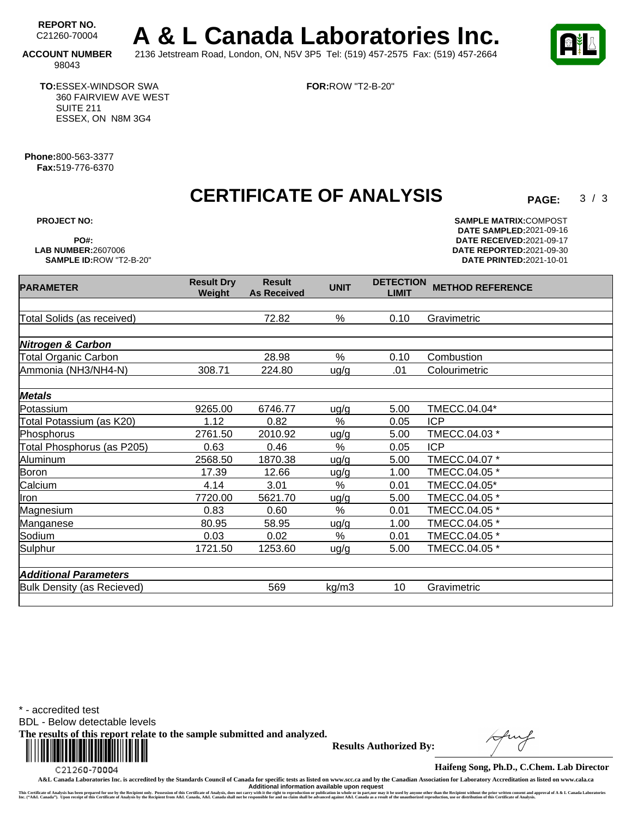REPORT NO.<br>C21260-70004 A & L Canada Laboratories Inc. **ACCOUNT NUMBER** 2136 Jetstream Road, London, ON, N5V 3P5 Tel: (519) 457-2575 Fax: (519) 457-2664

**FOR:**ROW "T2-B-20"

 $3/3$ 

98043

**TO:**ESSEX-WINDSOR SWA 360 FAIRVIEW AVE WEST SUITE 211 ESSEX, ON N8M 3G4

**Phone:**800-563-3377 **Fax:**519-776-6370

**CERTIFICATE OF ANALYSIS** 

**As Received UNIT DETECTION**

**Result**

Total Solids (as received) 72.82 % 0.10 Gravimetric

Total Organic Carbon 28.98 % 0.10 Combustion Ammonia (NH3/NH4-N) 308.71 224.80 ug/g .01 Colourimetric

Potassium 9265.00 6746.77 ug/g 5.00 TMECC.04.04\*

Phosphorus 2761.50 2010.92 ug/g 5.00 TMECC.04.03 \*

Aluminum 2568.50 1870.38 ug/g 5.00 TMECC.04.07 \* Boron 17.39 12.66 ug/g 1.00 TMECC.04.05 \* Calcium 4.14 3.01 % 0.01 TMECC.04.05\* Iron 7720.00 5621.70 ug/g 5.00 TMECC.04.05 \* Magnesium **0.83** 0.60 % 0.01 TMECC.04.05 \* Manganese 80.95 58.95 ug/g 1.00 TMECC.04.05 \* Sodium 0.03 0.02 % 0.01 TMECC.04.05 \* Sulphur 1721.50 1253.60 ug/g 5.00 TMECC.04.05 \*

Total Potassium (as K20) 1.12 0.82 % 0.05 ICP

Total Phosphorus (as P205) 0.63 0.46 % 0.05 ICP

**Nitrogen & Carbon**

**Metals**

**PARAMETER Result Dry** 

**Weight**

**PROJECT NO: SAMPLE MATRIX:** COMPOST **DATE SAMPLED:** 2021-09-16 **PO#: DATE RECEIVED:**2021-09-17 **LAB NUMBER:**2607006 **DATE REPORTED:**2021-09-30 **DATE PRINTED: 2021-10-01** 

**LIMIT METHOD REFERENCE**

Bulk Density (as Recieved) 569 kg/m3 10 Gravimetric

\* - accredited test

**Additional Parameters**

BDL - Below detectable levels

**The results of this report relate to the sample submitted and analyzed.** 



**Results Authorized By:**

**Haifeng Song, Ph.D., C.Chem. Lab Director**

**A&L Canada Laboratories Inc. is accredited by the Standards Council of Canada for specific tests as listed on www.scc.ca and by the Canadian Association for Laboratory Accreditation as listed on www.cala.ca Additional information available upon request**

This Certificate of Annysis has been prepared for us by the Recipient only. Possession of this Certificate of Annysis, does not carry with the right to reproduce in a back and a sume of the conder in party of the man of an